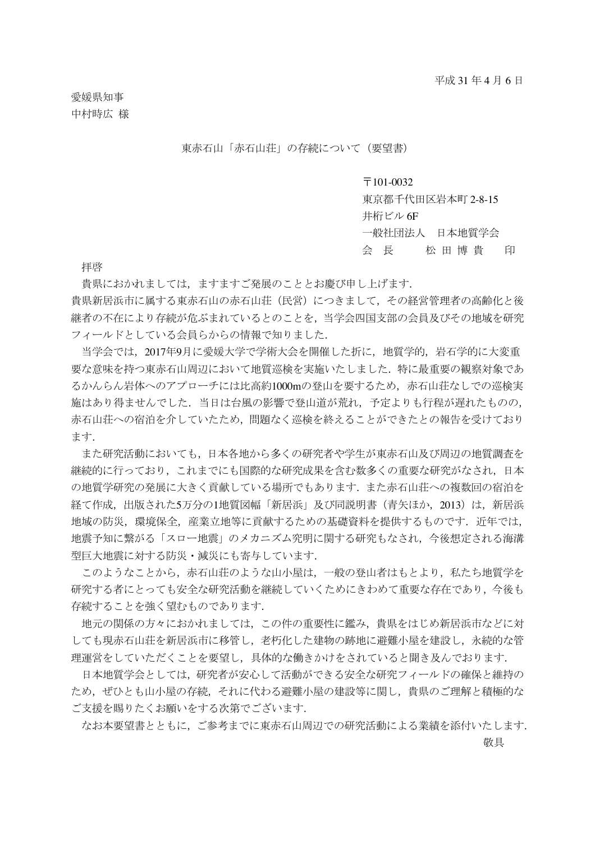愛媛県知事 中村時広 様

東赤石山「赤石山荘」の存続について(要望書)

## $\overline{7}101-0032$

東京都千代田区岩本町 2-8-15

井桁ビル 6F

一般社団法人 日本地質学会

会長 松田博 貴 印

拝啓

貴県におかれましては,ますますご発展のこととお慶び申し上げます.

貴県新居浜市に属する東赤石山の赤石山荘(民営)につきまして,その経営管理者の高齢化と後 継者の不在により存続が危ぶまれているとのことを,当学会四国支部の会員及びその地域を研究 フィールドとしている会員らからの情報で知りました.

当学会では,2017年9月に愛媛大学で学術大会を開催した折に,地質学的,岩石学的に大変重 要な意味を持つ東赤石山周辺において地質巡検を実施いたしました.特に最重要の観察対象であ るかんらん岩体へのアプローチには比高約1000mの登山を要するため,赤石山荘なしでの巡検実 施はあり得ませんでした.当日は台風の影響で登山道が荒れ,予定よりも行程が遅れたものの, 赤石山荘への宿泊を介していたため,問題なく巡検を終えることができたとの報告を受けており ます.

また研究活動においても,日本各地から多くの研究者や学生が東赤石山及び周辺の地質調査を 継続的に行っており,これまでにも国際的な研究成果を含む数多くの重要な研究がなされ,日本 の地質学研究の発展に大きく貢献している場所でもあります.また赤石山荘への複数回の宿泊を 経て作成,出版された5万分の1地質図幅「新居浜」及び同説明書(青矢ほか,2013)は,新居浜 地域の防災、環境保全、産業立地等に貢献するための基礎資料を提供するものです。近年では、 地震予知に繋がる「スロー地震」のメカニズム究明に関する研究もなされ,今後想定される海溝 型巨大地震に対する防災・減災にも寄与しています.

このようなことから,赤石山荘のような山小屋は,一般の登山者はもとより,私たち地質学を 研究する者にとっても安全な研究活動を継続していくためにきわめて重要な存在であり,今後も 存続することを強く望むものであります.

地元の関係の方々におかれましては,この件の重要性に鑑み,貴県をはじめ新居浜市などに対 しても現赤石山荘を新居浜市に移管し,老朽化した建物の跡地に避難小屋を建設し,永続的な管 理運営をしていただくことを要望し,具体的な働きかけをされていると聞き及んでおります.

日本地質学会としては,研究者が安心して活動ができる安全な研究フィールドの確保と維持の ため,ぜひとも山小屋の存続,それに代わる避難小屋の建設等に関し,貴県のご理解と積極的な ご支援を賜りたくお願いをする次第でございます.

なお本要望書とともに,ご参考までに東赤石山周辺での研究活動による業績を添付いたします. あんな かいしょう しょうしょう しゅうしょう こうしょう かいこう かいしょう かいしょう かいしょう かいしょう かいしゅう しゅうしゅう かいしゅう しゅうしゅう かいしゅう かいしゅう かいしょう